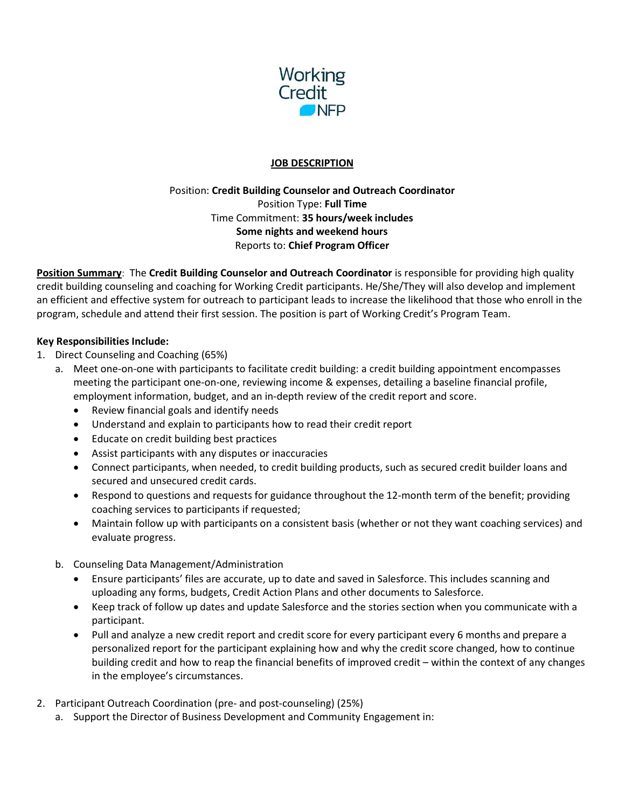

### **JOB DESCRIPTION**

## Position: Credit Building Counselor and Outreach Coordinator Position Type: Full Time Time Commitment: 35 hours/week includes Some nights and weekend hours Reports to: Chief Program Officer

Position Summary: The Credit Building Counselor and Outreach Coordinator is responsible for providing high quality credit building counseling and coaching for Working Credit participants. He/She/They will also develop and implement an efficient and effective system for outreach to participant leads to increase the likelihood that those who enroll in the program, schedule and attend their first session. The position is part of Working Credit's Program Team.

### Key Responsibilities Include:

- 1. Direct Counseling and Coaching (65%)
	- a. Meet one-on-one with participants to facilitate credit building: a credit building appointment encompasses meeting the participant one-on-one, reviewing income & expenses, detailing a baseline financial profile, employment information, budget, and an in-depth review of the credit report and score.
		- Review financial goals and identify needs
		- Understand and explain to participants how to read their credit report
		- Educate on credit building best practices
		- Assist participants with any disputes or inaccuracies
		- Connect participants, when needed, to credit building products, such as secured credit builder loans and secured and unsecured credit cards.
		- Respond to questions and requests for guidance throughout the 12-month term of the benefit; providing coaching services to participants if requested;
		- Maintain follow up with participants on a consistent basis (whether or not they want coaching services) and evaluate progress.
	- b. Counseling Data Management/Administration
		- Ensure participants' files are accurate, up to date and saved in Salesforce. This includes scanning and uploading any forms, budgets, Credit Action Plans and other documents to Salesforce.
		- Keep track of follow up dates and update Salesforce and the stories section when you communicate with a participant.
		- Pull and analyze a new credit report and credit score for every participant every 6 months and prepare a personalized report for the participant explaining how and why the credit score changed, how to continue building credit and how to reap the financial benefits of improved credit – within the context of any changes in the employee's circumstances.
- 2. Participant Outreach Coordination (pre- and post-counseling) (25%)
	- a. Support the Director of Business Development and Community Engagement in: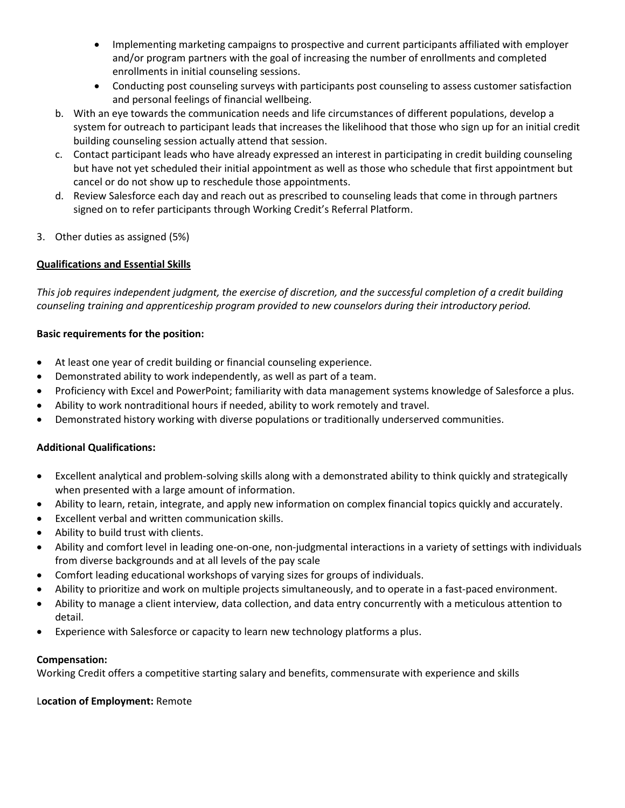- Implementing marketing campaigns to prospective and current participants affiliated with employer and/or program partners with the goal of increasing the number of enrollments and completed enrollments in initial counseling sessions.
- Conducting post counseling surveys with participants post counseling to assess customer satisfaction and personal feelings of financial wellbeing.
- b. With an eye towards the communication needs and life circumstances of different populations, develop a system for outreach to participant leads that increases the likelihood that those who sign up for an initial credit building counseling session actually attend that session.
- c. Contact participant leads who have already expressed an interest in participating in credit building counseling but have not yet scheduled their initial appointment as well as those who schedule that first appointment but cancel or do not show up to reschedule those appointments.
- d. Review Salesforce each day and reach out as prescribed to counseling leads that come in through partners signed on to refer participants through Working Credit's Referral Platform.
- 3. Other duties as assigned (5%)

# Qualifications and Essential Skills

This job requires independent judgment, the exercise of discretion, and the successful completion of a credit building counseling training and apprenticeship program provided to new counselors during their introductory period.

## Basic requirements for the position:

- At least one year of credit building or financial counseling experience.
- Demonstrated ability to work independently, as well as part of a team.
- Proficiency with Excel and PowerPoint; familiarity with data management systems knowledge of Salesforce a plus.
- Ability to work nontraditional hours if needed, ability to work remotely and travel.
- Demonstrated history working with diverse populations or traditionally underserved communities.

## Additional Qualifications:

- Excellent analytical and problem-solving skills along with a demonstrated ability to think quickly and strategically when presented with a large amount of information.
- Ability to learn, retain, integrate, and apply new information on complex financial topics quickly and accurately.
- Excellent verbal and written communication skills.
- Ability to build trust with clients.
- Ability and comfort level in leading one-on-one, non-judgmental interactions in a variety of settings with individuals from diverse backgrounds and at all levels of the pay scale
- Comfort leading educational workshops of varying sizes for groups of individuals.
- Ability to prioritize and work on multiple projects simultaneously, and to operate in a fast-paced environment.
- Ability to manage a client interview, data collection, and data entry concurrently with a meticulous attention to detail.
- Experience with Salesforce or capacity to learn new technology platforms a plus.

## Compensation:

Working Credit offers a competitive starting salary and benefits, commensurate with experience and skills

## Location of Employment: Remote